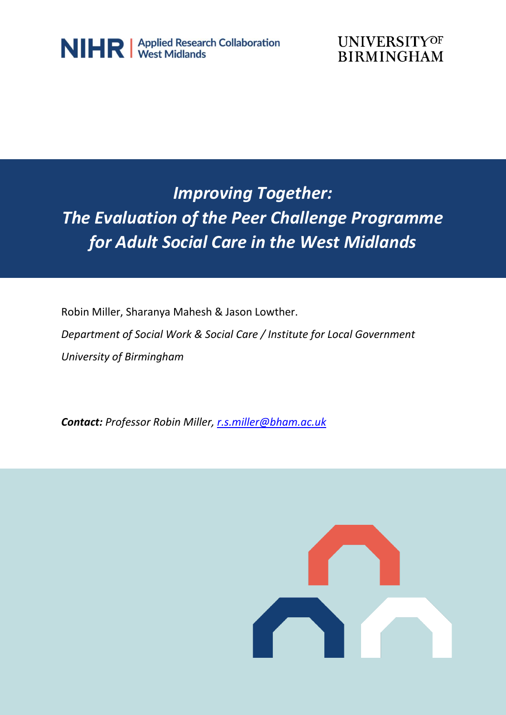



## *Improving Together: The Evaluation of the Peer Challenge Programme for Adult Social Care in the West Midlands*

Robin Miller, Sharanya Mahesh & Jason Lowther.

*Department of Social Work & Social Care / Institute for Local Government University of Birmingham*

*Contact: Professor Robin Miller, [r.s.miller@bham.ac.uk](mailto:r.s.miller@bham.ac.uk)*

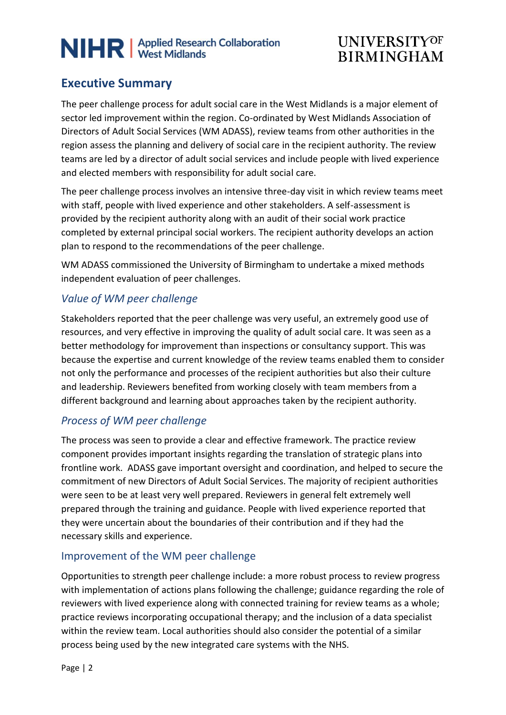## **UNIVERSITYOF BIRMINGHAM**

### **Executive Summary**

The peer challenge process for adult social care in the West Midlands is a major element of sector led improvement within the region. Co-ordinated by West Midlands Association of Directors of Adult Social Services (WM ADASS), review teams from other authorities in the region assess the planning and delivery of social care in the recipient authority. The review teams are led by a director of adult social services and include people with lived experience and elected members with responsibility for adult social care.

The peer challenge process involves an intensive three-day visit in which review teams meet with staff, people with lived experience and other stakeholders. A self-assessment is provided by the recipient authority along with an audit of their social work practice completed by external principal social workers. The recipient authority develops an action plan to respond to the recommendations of the peer challenge.

WM ADASS commissioned the University of Birmingham to undertake a mixed methods independent evaluation of peer challenges.

#### *Value of WM peer challenge*

Stakeholders reported that the peer challenge was very useful, an extremely good use of resources, and very effective in improving the quality of adult social care. It was seen as a better methodology for improvement than inspections or consultancy support. This was because the expertise and current knowledge of the review teams enabled them to consider not only the performance and processes of the recipient authorities but also their culture and leadership. Reviewers benefited from working closely with team members from a different background and learning about approaches taken by the recipient authority.

#### *Process of WM peer challenge*

The process was seen to provide a clear and effective framework. The practice review component provides important insights regarding the translation of strategic plans into frontline work. ADASS gave important oversight and coordination, and helped to secure the commitment of new Directors of Adult Social Services. The majority of recipient authorities were seen to be at least very well prepared. Reviewers in general felt extremely well prepared through the training and guidance. People with lived experience reported that they were uncertain about the boundaries of their contribution and if they had the necessary skills and experience.

#### Improvement of the WM peer challenge

Opportunities to strength peer challenge include: a more robust process to review progress with implementation of actions plans following the challenge; guidance regarding the role of reviewers with lived experience along with connected training for review teams as a whole; practice reviews incorporating occupational therapy; and the inclusion of a data specialist within the review team. Local authorities should also consider the potential of a similar process being used by the new integrated care systems with the NHS.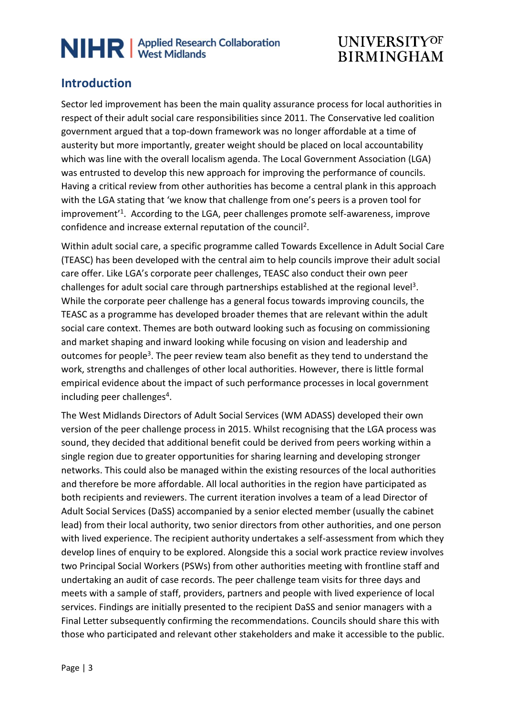## **UNIVERSITYOF BIRMINGHAM**

### **Introduction**

Sector led improvement has been the main quality assurance process for local authorities in respect of their adult social care responsibilities since 2011. The Conservative led coalition government argued that a top-down framework was no longer affordable at a time of austerity but more importantly, greater weight should be placed on local accountability which was line with the overall localism agenda. The Local Government Association (LGA) was entrusted to develop this new approach for improving the performance of councils. Having a critical review from other authorities has become a central plank in this approach with the LGA stating that 'we know that challenge from one's peers is a proven tool for improvement<sup>'1</sup>. According to the LGA, peer challenges promote self-awareness, improve confidence and increase external reputation of the council<sup>2</sup>.

Within adult social care, a specific programme called Towards Excellence in Adult Social Care (TEASC) has been developed with the central aim to help councils improve their adult social care offer. Like LGA's corporate peer challenges, TEASC also conduct their own peer challenges for adult social care through partnerships established at the regional level<sup>3</sup>. While the corporate peer challenge has a general focus towards improving councils, the TEASC as a programme has developed broader themes that are relevant within the adult social care context. Themes are both outward looking such as focusing on commissioning and market shaping and inward looking while focusing on vision and leadership and outcomes for people<sup>3</sup>. The peer review team also benefit as they tend to understand the work, strengths and challenges of other local authorities. However, there is little formal empirical evidence about the impact of such performance processes in local government including peer challenges<sup>4</sup>.

The West Midlands Directors of Adult Social Services (WM ADASS) developed their own version of the peer challenge process in 2015. Whilst recognising that the LGA process was sound, they decided that additional benefit could be derived from peers working within a single region due to greater opportunities for sharing learning and developing stronger networks. This could also be managed within the existing resources of the local authorities and therefore be more affordable. All local authorities in the region have participated as both recipients and reviewers. The current iteration involves a team of a lead Director of Adult Social Services (DaSS) accompanied by a senior elected member (usually the cabinet lead) from their local authority, two senior directors from other authorities, and one person with lived experience. The recipient authority undertakes a self-assessment from which they develop lines of enquiry to be explored. Alongside this a social work practice review involves two Principal Social Workers (PSWs) from other authorities meeting with frontline staff and undertaking an audit of case records. The peer challenge team visits for three days and meets with a sample of staff, providers, partners and people with lived experience of local services. Findings are initially presented to the recipient DaSS and senior managers with a Final Letter subsequently confirming the recommendations. Councils should share this with those who participated and relevant other stakeholders and make it accessible to the public.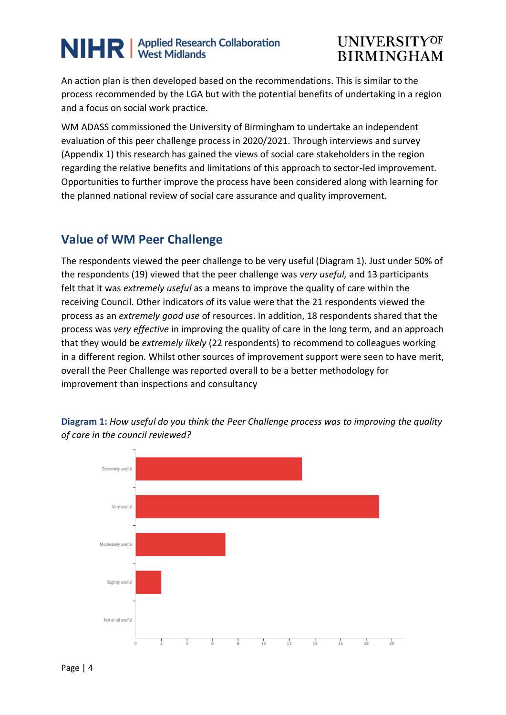### **UNIVERSITYOF BIRMINGHAM**

An action plan is then developed based on the recommendations. This is similar to the process recommended by the LGA but with the potential benefits of undertaking in a region and a focus on social work practice.

WM ADASS commissioned the University of Birmingham to undertake an independent evaluation of this peer challenge process in 2020/2021. Through interviews and survey (Appendix 1) this research has gained the views of social care stakeholders in the region regarding the relative benefits and limitations of this approach to sector-led improvement. Opportunities to further improve the process have been considered along with learning for the planned national review of social care assurance and quality improvement.

#### **Value of WM Peer Challenge**

The respondents viewed the peer challenge to be very useful (Diagram 1). Just under 50% of the respondents (19) viewed that the peer challenge was *very useful,* and 13 participants felt that it was *extremely useful* as a means to improve the quality of care within the receiving Council. Other indicators of its value were that the 21 respondents viewed the process as an *extremely good use* of resources. In addition, 18 respondents shared that the process was *very effective* in improving the quality of care in the long term, and an approach that they would be *extremely likely* (22 respondents) to recommend to colleagues working in a different region. Whilst other sources of improvement support were seen to have merit, overall the Peer Challenge was reported overall to be a better methodology for improvement than inspections and consultancy



**Diagram 1:** *How useful do you think the Peer Challenge process was to improving the quality of care in the council reviewed?*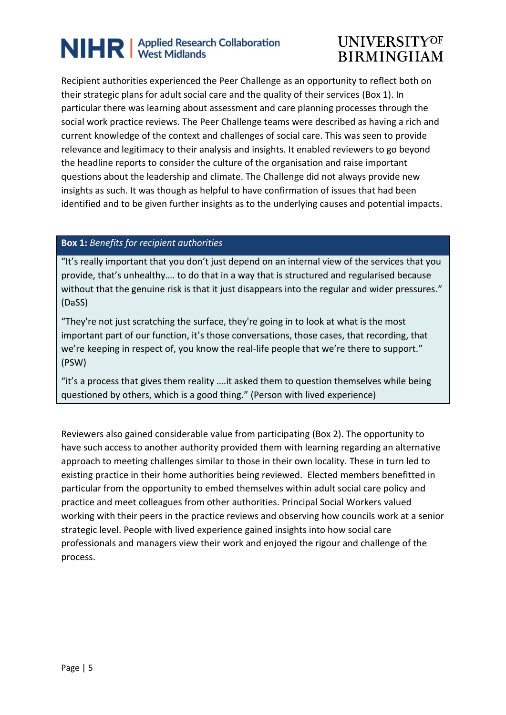## **UNIVERSITYOF BIRMINGHAM**

Recipient authorities experienced the Peer Challenge as an opportunity to reflect both on their strategic plans for adult social care and the quality of their services (Box 1). In particular there was learning about assessment and care planning processes through the social work practice reviews. The Peer Challenge teams were described as having a rich and current knowledge of the context and challenges of social care. This was seen to provide relevance and legitimacy to their analysis and insights. It enabled reviewers to go beyond the headline reports to consider the culture of the organisation and raise important questions about the leadership and climate. The Challenge did not always provide new insights as such. It was though as helpful to have confirmation of issues that had been identified and to be given further insights as to the underlying causes and potential impacts.

#### **Box 1:** *Benefits for recipient authorities*

"It's really important that you don't just depend on an internal view of the services that you provide, that's unhealthy…. to do that in a way that is structured and regularised because without that the genuine risk is that it just disappears into the regular and wider pressures." (DaSS)

"They're not just scratching the surface, they're going in to look at what is the most important part of our function, it's those conversations, those cases, that recording, that we're keeping in respect of, you know the real-life people that we're there to support." (PSW)

"it's a process that gives them reality ….it asked them to question themselves while being questioned by others, which is a good thing." (Person with lived experience)

Reviewers also gained considerable value from participating (Box 2). The opportunity to have such access to another authority provided them with learning regarding an alternative approach to meeting challenges similar to those in their own locality. These in turn led to existing practice in their home authorities being reviewed. Elected members benefitted in particular from the opportunity to embed themselves within adult social care policy and practice and meet colleagues from other authorities. Principal Social Workers valued working with their peers in the practice reviews and observing how councils work at a senior strategic level. People with lived experience gained insights into how social care professionals and managers view their work and enjoyed the rigour and challenge of the process.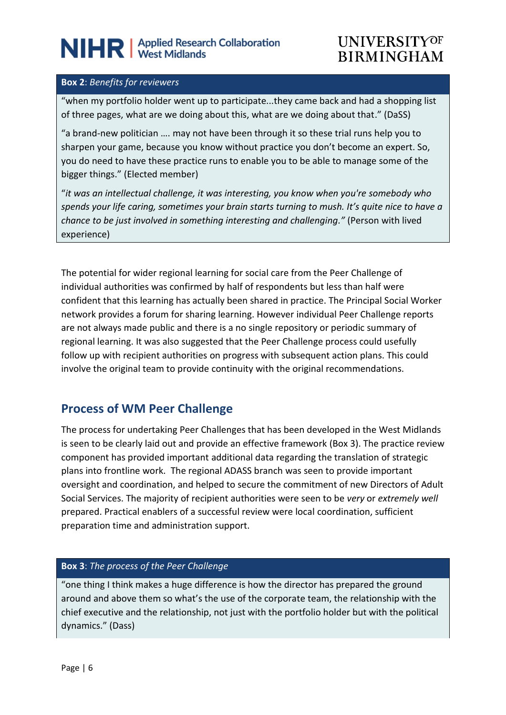### **UNIVERSITYOF BIRMINGHAM**

#### **Box 2**: *Benefits for reviewers*

"when my portfolio holder went up to participate...they came back and had a shopping list of three pages, what are we doing about this, what are we doing about that." (DaSS)

"a brand-new politician …. may not have been through it so these trial runs help you to sharpen your game, because you know without practice you don't become an expert. So, you do need to have these practice runs to enable you to be able to manage some of the bigger things." (Elected member)

"*it was an intellectual challenge, it was interesting, you know when you're somebody who spends your life caring, sometimes your brain starts turning to mush. It's quite nice to have a chance to be just involved in something interesting and challenging."* (Person with lived experience)

The potential for wider regional learning for social care from the Peer Challenge of individual authorities was confirmed by half of respondents but less than half were confident that this learning has actually been shared in practice. The Principal Social Worker network provides a forum for sharing learning. However individual Peer Challenge reports are not always made public and there is a no single repository or periodic summary of regional learning. It was also suggested that the Peer Challenge process could usefully follow up with recipient authorities on progress with subsequent action plans. This could involve the original team to provide continuity with the original recommendations.

#### **Process of WM Peer Challenge**

The process for undertaking Peer Challenges that has been developed in the West Midlands is seen to be clearly laid out and provide an effective framework (Box 3). The practice review component has provided important additional data regarding the translation of strategic plans into frontline work. The regional ADASS branch was seen to provide important oversight and coordination, and helped to secure the commitment of new Directors of Adult Social Services. The majority of recipient authorities were seen to be *very* or *extremely well* prepared. Practical enablers of a successful review were local coordination, sufficient preparation time and administration support.

#### **Box 3**: *The process of the Peer Challenge*

"one thing I think makes a huge difference is how the director has prepared the ground around and above them so what's the use of the corporate team, the relationship with the chief executive and the relationship, not just with the portfolio holder but with the political dynamics." (Dass)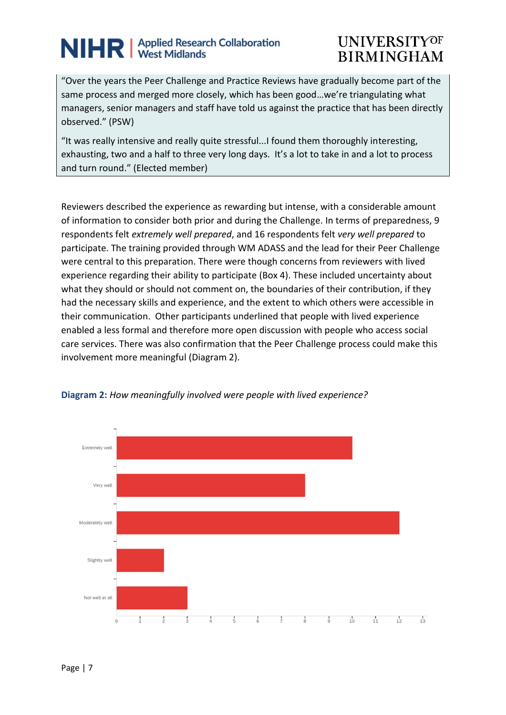## **UNIVERSITYOF BIRMINGHAM**

"Over the years the Peer Challenge and Practice Reviews have gradually become part of the same process and merged more closely, which has been good…we're triangulating what managers, senior managers and staff have told us against the practice that has been directly observed." (PSW)

"It was really intensive and really quite stressful...I found them thoroughly interesting, exhausting, two and a half to three very long days. It's a lot to take in and a lot to process and turn round." (Elected member)

Reviewers described the experience as rewarding but intense, with a considerable amount of information to consider both prior and during the Challenge. In terms of preparedness, 9 respondents felt *extremely well prepared*, and 16 respondents felt *very well prepared* to participate. The training provided through WM ADASS and the lead for their Peer Challenge were central to this preparation. There were though concerns from reviewers with lived experience regarding their ability to participate (Box 4). These included uncertainty about what they should or should not comment on, the boundaries of their contribution, if they had the necessary skills and experience, and the extent to which others were accessible in their communication. Other participants underlined that people with lived experience enabled a less formal and therefore more open discussion with people who access social care services. There was also confirmation that the Peer Challenge process could make this involvement more meaningful (Diagram 2).



#### **Diagram 2:** *How meaningfully involved were people with lived experience?*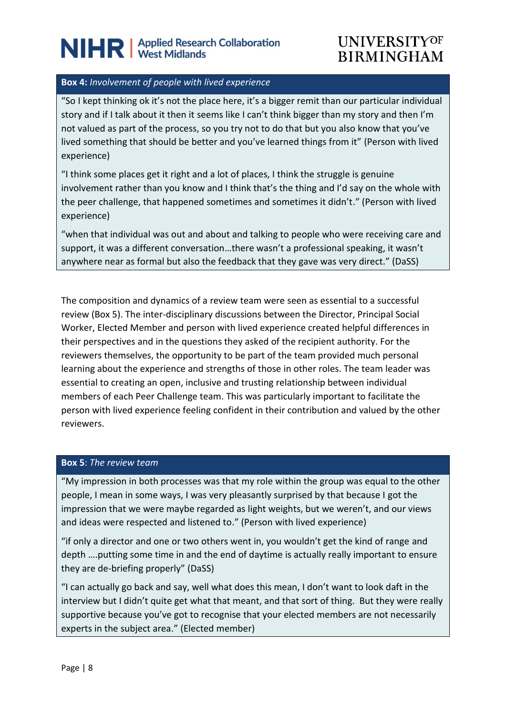### **UNIVERSITYOF BIRMINGHAM**

#### **Box 4:** *Involvement of people with lived experience*

"So I kept thinking ok it's not the place here, it's a bigger remit than our particular individual story and if I talk about it then it seems like I can't think bigger than my story and then I'm not valued as part of the process, so you try not to do that but you also know that you've lived something that should be better and you've learned things from it" (Person with lived experience)

"I think some places get it right and a lot of places, I think the struggle is genuine involvement rather than you know and I think that's the thing and I'd say on the whole with the peer challenge, that happened sometimes and sometimes it didn't." (Person with lived experience)

"when that individual was out and about and talking to people who were receiving care and support, it was a different conversation…there wasn't a professional speaking, it wasn't anywhere near as formal but also the feedback that they gave was very direct." (DaSS)

The composition and dynamics of a review team were seen as essential to a successful review (Box 5). The inter-disciplinary discussions between the Director, Principal Social Worker, Elected Member and person with lived experience created helpful differences in their perspectives and in the questions they asked of the recipient authority. For the reviewers themselves, the opportunity to be part of the team provided much personal learning about the experience and strengths of those in other roles. The team leader was essential to creating an open, inclusive and trusting relationship between individual members of each Peer Challenge team. This was particularly important to facilitate the person with lived experience feeling confident in their contribution and valued by the other reviewers.

#### **Box 5**: *The review team*

"My impression in both processes was that my role within the group was equal to the other people, I mean in some ways, I was very pleasantly surprised by that because I got the impression that we were maybe regarded as light weights, but we weren't, and our views and ideas were respected and listened to." (Person with lived experience)

"if only a director and one or two others went in, you wouldn't get the kind of range and depth ….putting some time in and the end of daytime is actually really important to ensure they are de-briefing properly" (DaSS)

"I can actually go back and say, well what does this mean, I don't want to look daft in the interview but I didn't quite get what that meant, and that sort of thing. But they were really supportive because you've got to recognise that your elected members are not necessarily experts in the subject area." (Elected member)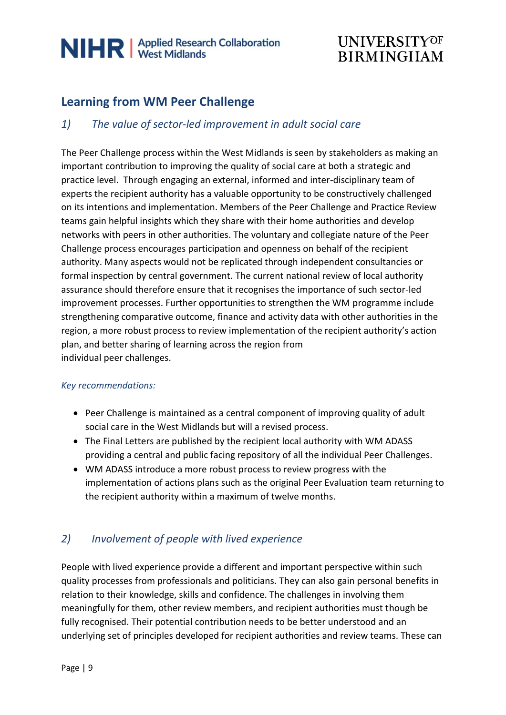## **UNIVERSITYOF BIRMINGHAM**

### **Learning from WM Peer Challenge**

#### *1) The value of sector-led improvement in adult social care*

The Peer Challenge process within the West Midlands is seen by stakeholders as making an important contribution to improving the quality of social care at both a strategic and practice level. Through engaging an external, informed and inter-disciplinary team of experts the recipient authority has a valuable opportunity to be constructively challenged on its intentions and implementation. Members of the Peer Challenge and Practice Review teams gain helpful insights which they share with their home authorities and develop networks with peers in other authorities. The voluntary and collegiate nature of the Peer Challenge process encourages participation and openness on behalf of the recipient authority. Many aspects would not be replicated through independent consultancies or formal inspection by central government. The current national review of local authority assurance should therefore ensure that it recognises the importance of such sector-led improvement processes. Further opportunities to strengthen the WM programme include strengthening comparative outcome, finance and activity data with other authorities in the region, a more robust process to review implementation of the recipient authority's action plan, and better sharing of learning across the region from individual peer challenges.

#### *Key recommendations:*

- Peer Challenge is maintained as a central component of improving quality of adult social care in the West Midlands but will a revised process.
- The Final Letters are published by the recipient local authority with WM ADASS providing a central and public facing repository of all the individual Peer Challenges.
- WM ADASS introduce a more robust process to review progress with the implementation of actions plans such as the original Peer Evaluation team returning to the recipient authority within a maximum of twelve months.

#### *2) Involvement of people with lived experience*

People with lived experience provide a different and important perspective within such quality processes from professionals and politicians. They can also gain personal benefits in relation to their knowledge, skills and confidence. The challenges in involving them meaningfully for them, other review members, and recipient authorities must though be fully recognised. Their potential contribution needs to be better understood and an underlying set of principles developed for recipient authorities and review teams. These can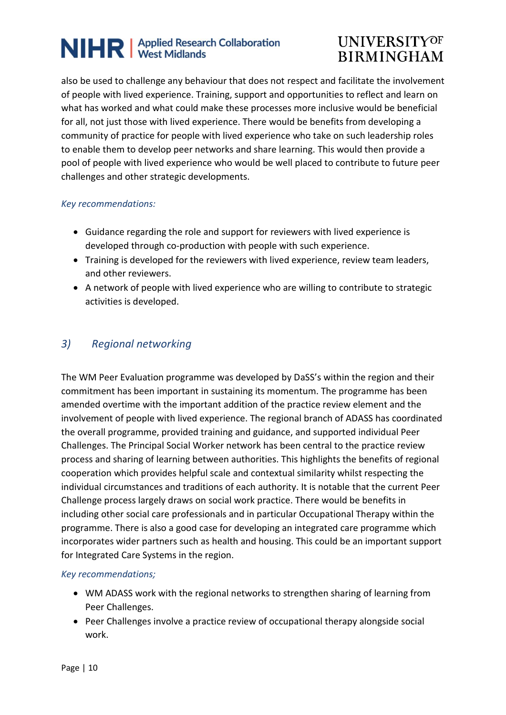## **UNIVERSITYOF BIRMINGHAM**

also be used to challenge any behaviour that does not respect and facilitate the involvement of people with lived experience. Training, support and opportunities to reflect and learn on what has worked and what could make these processes more inclusive would be beneficial for all, not just those with lived experience. There would be benefits from developing a community of practice for people with lived experience who take on such leadership roles to enable them to develop peer networks and share learning. This would then provide a pool of people with lived experience who would be well placed to contribute to future peer challenges and other strategic developments.

#### *Key recommendations:*

- Guidance regarding the role and support for reviewers with lived experience is developed through co-production with people with such experience.
- Training is developed for the reviewers with lived experience, review team leaders, and other reviewers.
- A network of people with lived experience who are willing to contribute to strategic activities is developed.

#### *3) Regional networking*

The WM Peer Evaluation programme was developed by DaSS's within the region and their commitment has been important in sustaining its momentum. The programme has been amended overtime with the important addition of the practice review element and the involvement of people with lived experience. The regional branch of ADASS has coordinated the overall programme, provided training and guidance, and supported individual Peer Challenges. The Principal Social Worker network has been central to the practice review process and sharing of learning between authorities. This highlights the benefits of regional cooperation which provides helpful scale and contextual similarity whilst respecting the individual circumstances and traditions of each authority. It is notable that the current Peer Challenge process largely draws on social work practice. There would be benefits in including other social care professionals and in particular Occupational Therapy within the programme. There is also a good case for developing an integrated care programme which incorporates wider partners such as health and housing. This could be an important support for Integrated Care Systems in the region.

#### *Key recommendations;*

- WM ADASS work with the regional networks to strengthen sharing of learning from Peer Challenges.
- Peer Challenges involve a practice review of occupational therapy alongside social work.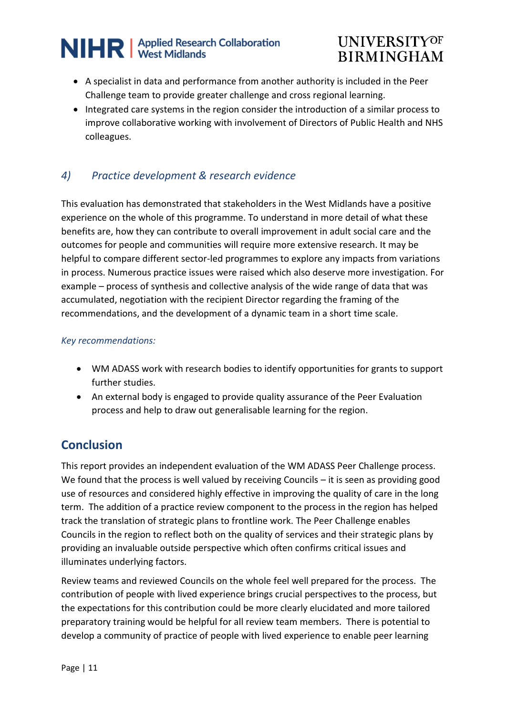## **UNIVERSITYOF BIRMINGHAM**

- A specialist in data and performance from another authority is included in the Peer Challenge team to provide greater challenge and cross regional learning.
- Integrated care systems in the region consider the introduction of a similar process to improve collaborative working with involvement of Directors of Public Health and NHS colleagues.

#### *4) Practice development & research evidence*

This evaluation has demonstrated that stakeholders in the West Midlands have a positive experience on the whole of this programme. To understand in more detail of what these benefits are, how they can contribute to overall improvement in adult social care and the outcomes for people and communities will require more extensive research. It may be helpful to compare different sector-led programmes to explore any impacts from variations in process. Numerous practice issues were raised which also deserve more investigation. For example – process of synthesis and collective analysis of the wide range of data that was accumulated, negotiation with the recipient Director regarding the framing of the recommendations, and the development of a dynamic team in a short time scale.

#### *Key recommendations:*

- WM ADASS work with research bodies to identify opportunities for grants to support further studies.
- An external body is engaged to provide quality assurance of the Peer Evaluation process and help to draw out generalisable learning for the region.

### **Conclusion**

This report provides an independent evaluation of the WM ADASS Peer Challenge process. We found that the process is well valued by receiving Councils – it is seen as providing good use of resources and considered highly effective in improving the quality of care in the long term. The addition of a practice review component to the process in the region has helped track the translation of strategic plans to frontline work. The Peer Challenge enables Councils in the region to reflect both on the quality of services and their strategic plans by providing an invaluable outside perspective which often confirms critical issues and illuminates underlying factors.

Review teams and reviewed Councils on the whole feel well prepared for the process. The contribution of people with lived experience brings crucial perspectives to the process, but the expectations for this contribution could be more clearly elucidated and more tailored preparatory training would be helpful for all review team members. There is potential to develop a community of practice of people with lived experience to enable peer learning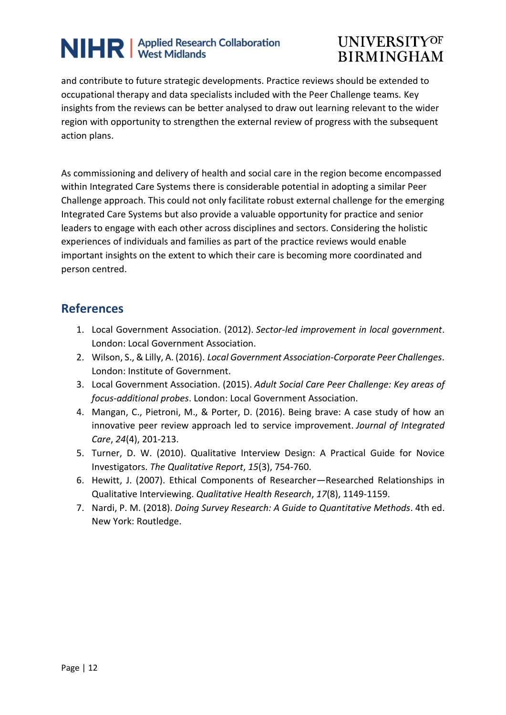## **UNIVERSITYOF BIRMINGHAM**

and contribute to future strategic developments. Practice reviews should be extended to occupational therapy and data specialists included with the Peer Challenge teams. Key insights from the reviews can be better analysed to draw out learning relevant to the wider region with opportunity to strengthen the external review of progress with the subsequent action plans.

As commissioning and delivery of health and social care in the region become encompassed within Integrated Care Systems there is considerable potential in adopting a similar Peer Challenge approach. This could not only facilitate robust external challenge for the emerging Integrated Care Systems but also provide a valuable opportunity for practice and senior leaders to engage with each other across disciplines and sectors. Considering the holistic experiences of individuals and families as part of the practice reviews would enable important insights on the extent to which their care is becoming more coordinated and person centred.

#### **References**

- 1. Local Government Association. (2012). *Sector-led improvement in local government*. London: Local Government Association.
- 2. Wilson, S., & Lilly, A. (2016). *Local Government Association-Corporate Peer Challenges*. London: Institute of Government.
- 3. Local Government Association. (2015). *Adult Social Care Peer Challenge: Key areas of focus-additional probes*. London: Local Government Association.
- 4. Mangan, C., Pietroni, M., & Porter, D. (2016). Being brave: A case study of how an innovative peer review approach led to service improvement. *Journal of Integrated Care*, *24*(4), 201-213.
- 5. Turner, D. W. (2010). Qualitative Interview Design: A Practical Guide for Novice Investigators. *The Qualitative Report*, *15*(3), 754-760.
- 6. Hewitt, J. (2007). Ethical Components of Researcher—Researched Relationships in Qualitative Interviewing. *Qualitative Health Research*, *17*(8), 1149-1159.
- 7. Nardi, P. M. (2018). *Doing Survey Research: A Guide to Quantitative Methods*. 4th ed. New York: Routledge.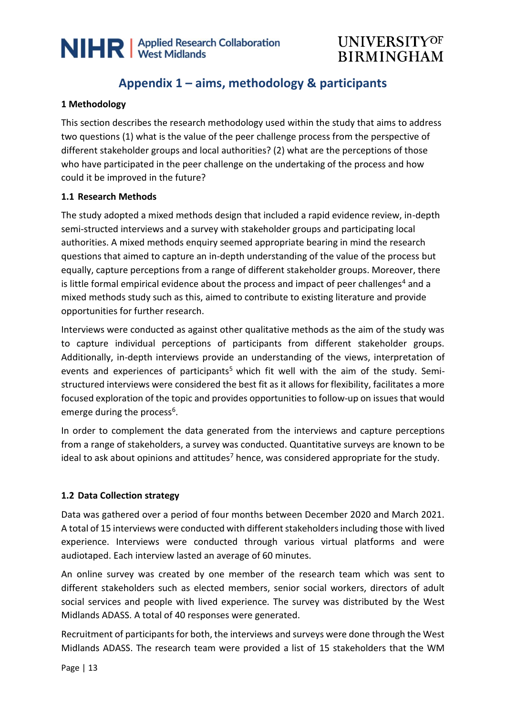

### **Appendix 1 – aims, methodology & participants**

#### **1 Methodology**

This section describes the research methodology used within the study that aims to address two questions (1) what is the value of the peer challenge process from the perspective of different stakeholder groups and local authorities? (2) what are the perceptions of those who have participated in the peer challenge on the undertaking of the process and how could it be improved in the future?

#### **1.1 Research Methods**

The study adopted a mixed methods design that included a rapid evidence review, in-depth semi-structed interviews and a survey with stakeholder groups and participating local authorities. A mixed methods enquiry seemed appropriate bearing in mind the research questions that aimed to capture an in-depth understanding of the value of the process but equally, capture perceptions from a range of different stakeholder groups. Moreover, there is little formal empirical evidence about the process and impact of peer challenges<sup>4</sup> and a mixed methods study such as this, aimed to contribute to existing literature and provide opportunities for further research.

Interviews were conducted as against other qualitative methods as the aim of the study was to capture individual perceptions of participants from different stakeholder groups. Additionally, in-depth interviews provide an understanding of the views, interpretation of events and experiences of participants<sup>5</sup> which fit well with the aim of the study. Semistructured interviews were considered the best fit as it allows for flexibility, facilitates a more focused exploration of the topic and provides opportunities to follow-up on issues that would emerge during the process<sup>6</sup>.

In order to complement the data generated from the interviews and capture perceptions from a range of stakeholders, a survey was conducted. Quantitative surveys are known to be ideal to ask about opinions and attitudes<sup>7</sup> hence, was considered appropriate for the study.

#### **1.2 Data Collection strategy**

Data was gathered over a period of four months between December 2020 and March 2021. A total of 15 interviews were conducted with different stakeholders including those with lived experience. Interviews were conducted through various virtual platforms and were audiotaped. Each interview lasted an average of 60 minutes.

An online survey was created by one member of the research team which was sent to different stakeholders such as elected members, senior social workers, directors of adult social services and people with lived experience. The survey was distributed by the West Midlands ADASS. A total of 40 responses were generated.

Recruitment of participants for both, the interviews and surveys were done through the West Midlands ADASS. The research team were provided a list of 15 stakeholders that the WM